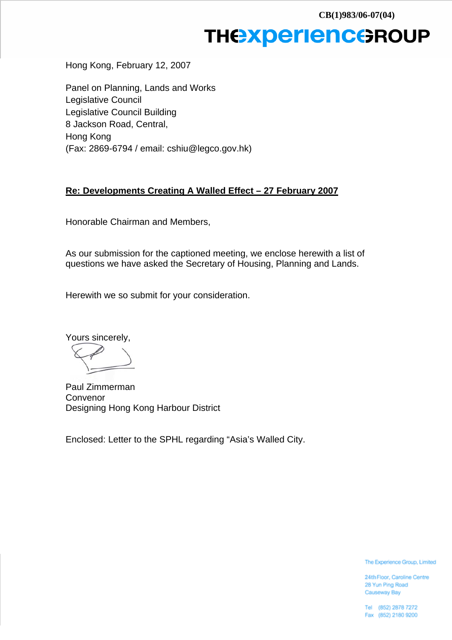## **THEXperienceROUP**

Hong Kong, February 12, 2007

Panel on Planning, Lands and Works Legislative Council Legislative Council Building 8 Jackson Road, Central, Hong Kong (Fax: 2869-6794 / email: cshiu@legco.gov.hk)

#### **Re: Developments Creating A Walled Effect – 27 February 2007**

Honorable Chairman and Members,

As our submission for the captioned meeting, we enclose herewith a list of questions we have asked the Secretary of Housing, Planning and Lands.

Herewith we so submit for your consideration.

Yours sincerely,

Paul Zimmerman Convenor Designing Hong Kong Harbour District

Enclosed: Letter to the SPHL regarding "Asia's Walled City.

The Experience Group, Limited

24th Floor, Caroline Centre 28 Yun Ping Road Causeway Bay

Tel (852) 2878 7272 Fax (852) 2180 9200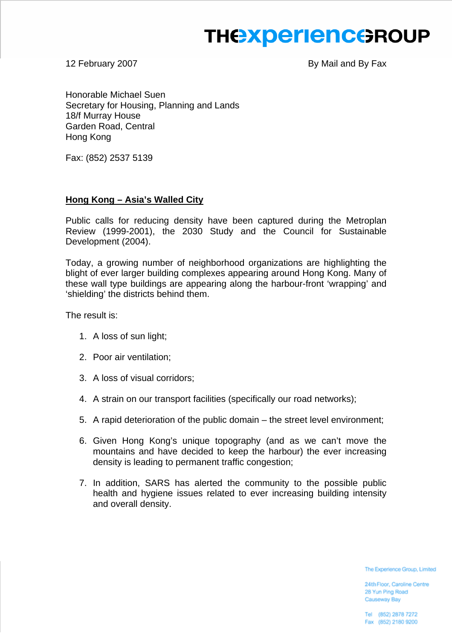# **THE EXPERIENCE ROUP**

12 February 2007 **By Mail and By Fax** 

Honorable Michael Suen Secretary for Housing, Planning and Lands 18/f Murray House Garden Road, Central Hong Kong

Fax: (852) 2537 5139

## **Hong Kong – Asia's Walled City**

Public calls for reducing density have been captured during the Metroplan Review (1999-2001), the 2030 Study and the Council for Sustainable Development (2004).

Today, a growing number of neighborhood organizations are highlighting the blight of ever larger building complexes appearing around Hong Kong. Many of these wall type buildings are appearing along the harbour-front 'wrapping' and 'shielding' the districts behind them.

The result is:

- 1. A loss of sun light;
- 2. Poor air ventilation;
- 3. A loss of visual corridors;
- 4. A strain on our transport facilities (specifically our road networks);
- 5. A rapid deterioration of the public domain the street level environment;
- 6. Given Hong Kong's unique topography (and as we can't move the mountains and have decided to keep the harbour) the ever increasing density is leading to permanent traffic congestion;
- 7. In addition, SARS has alerted the community to the possible public health and hygiene issues related to ever increasing building intensity and overall density.

The Experience Group, Limited

24th Floor, Caroline Centre 28 Yun Ping Road Causeway Bay

Tel (852) 2878 7272 Fax (852) 2180 9200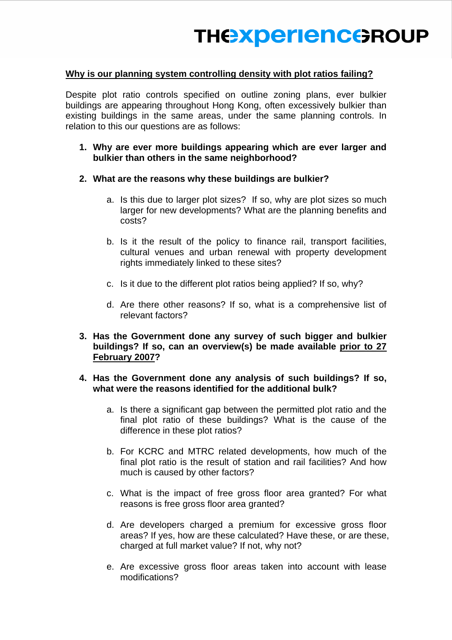### **Why is our planning system controlling density with plot ratios failing?**

Despite plot ratio controls specified on outline zoning plans, ever bulkier buildings are appearing throughout Hong Kong, often excessively bulkier than existing buildings in the same areas, under the same planning controls. In relation to this our questions are as follows:

- **1. Why are ever more buildings appearing which are ever larger and bulkier than others in the same neighborhood?**
- **2. What are the reasons why these buildings are bulkier?** 
	- a. Is this due to larger plot sizes? If so, why are plot sizes so much larger for new developments? What are the planning benefits and costs?
	- b. Is it the result of the policy to finance rail, transport facilities, cultural venues and urban renewal with property development rights immediately linked to these sites?
	- c. Is it due to the different plot ratios being applied? If so, why?
	- d. Are there other reasons? If so, what is a comprehensive list of relevant factors?
- **3. Has the Government done any survey of such bigger and bulkier buildings? If so, can an overview(s) be made available prior to 27 February 2007?**

### **4. Has the Government done any analysis of such buildings? If so, what were the reasons identified for the additional bulk?**

- a. Is there a significant gap between the permitted plot ratio and the final plot ratio of these buildings? What is the cause of the difference in these plot ratios?
- b. For KCRC and MTRC related developments, how much of the final plot ratio is the result of station and rail facilities? And how much is caused by other factors?
- c. What is the impact of free gross floor area granted? For what reasons is free gross floor area granted?
- d. Are developers charged a premium for excessive gross floor areas? If yes, how are these calculated? Have these, or are these, charged at full market value? If not, why not?
- e. Are excessive gross floor areas taken into account with lease modifications?